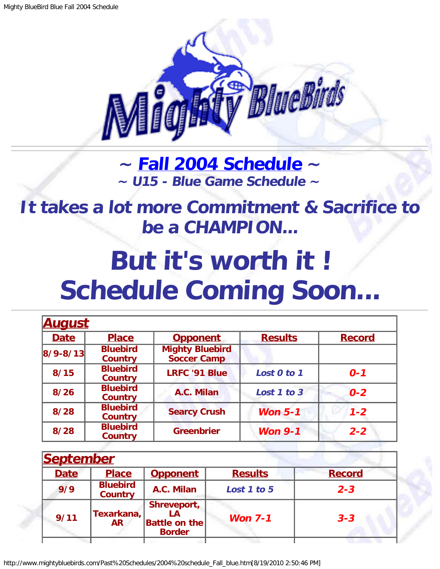

**~ [Fall 2004 Schedule](#page-0-0) ~ ~ U15 - Blue Game Schedule ~**

<span id="page-0-1"></span>**It takes a lot more Commitment & Sacrifice to be a CHAMPION...**

## **But it's worth it ! Schedule Coming Soon...**

| <u>August</u>  |                                   |                                              |                |               |  |
|----------------|-----------------------------------|----------------------------------------------|----------------|---------------|--|
| <b>Date</b>    | <b>Place</b>                      | <b>Opponent</b>                              | <b>Results</b> | <b>Record</b> |  |
| $ 8/9 - 8/13 $ | <b>Bluebird</b><br><b>Country</b> | <b>Mighty Bluebird</b><br><b>Soccer Camp</b> |                |               |  |
| 8/15           | <b>Bluebird</b><br><b>Country</b> | <b>LRFC '91 Blue</b>                         | Lost 0 to 1    | $0 - 1$       |  |
| 8/26           | <b>Bluebird</b><br><b>Country</b> | A.C. Milan                                   | Lost 1 to 3    | $0 - 2$       |  |
| 8/28           | <b>Bluebird</b><br><b>Country</b> | <b>Searcy Crush</b>                          | Won $5-1$      | $1 - 2$       |  |
| 8/28           | <b>Bluebird</b><br><b>Country</b> | <b>Greenbrier</b>                            | <b>Won 9-1</b> | $2 - 2$       |  |

<span id="page-0-0"></span>

| <b>September</b> |                                   |                                                      |                |               |
|------------------|-----------------------------------|------------------------------------------------------|----------------|---------------|
| <b>Date</b>      | <b>Place</b>                      | <b>Opponent</b>                                      | <b>Results</b> | <b>Record</b> |
| 9/9              | <b>Bluebird</b><br><b>Country</b> | A.C. Milan                                           | Lost 1 to 5    | $2 - 3$       |
| 9/11             | Texarkana,<br><b>AR</b>           | Shreveport,<br><b>Battle on the</b><br><b>Border</b> | Won $7-1$      | $3 - 3$       |
|                  |                                   |                                                      |                |               |

http://www.mightybluebirds.com/Past%20Schedules/2004%20schedule\_Fall\_blue.htm[8/19/2010 2:50:46 PM]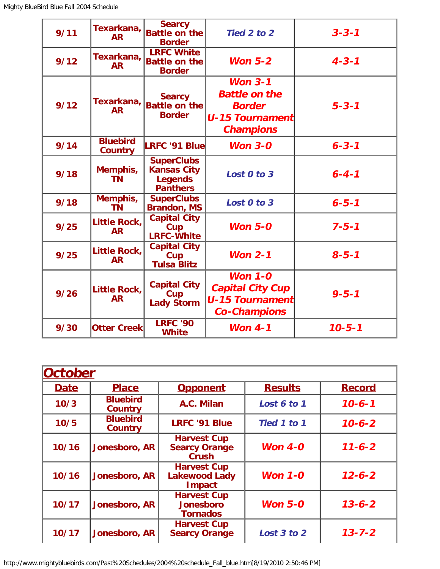| 9/11 | Texarkana,<br><b>AR</b>           | <b>Searcy</b><br><b>Battle on the</b><br><b>Border</b>                       | Tied 2 to 2                                                                                      | $3 - 3 - 1$  |
|------|-----------------------------------|------------------------------------------------------------------------------|--------------------------------------------------------------------------------------------------|--------------|
| 9/12 | Texarkana,<br><b>AR</b>           | <b>LRFC White</b><br><b>Battle on the</b><br><b>Border</b>                   | Won $5-2$                                                                                        | $4 - 3 - 1$  |
| 9/12 | Texarkana,<br><b>AR</b>           | <b>Searcy</b><br><b>Battle on the</b><br><b>Border</b>                       | Won $3-1$<br><b>Battle on the</b><br><b>Border</b><br><b>U-15 Tournament</b><br><b>Champions</b> | $5 - 3 - 1$  |
| 9/14 | <b>Bluebird</b><br><b>Country</b> | <b>LRFC '91 Blue</b>                                                         | Won $3-0$                                                                                        | $6 - 3 - 1$  |
| 9/18 | Memphis,<br><b>TN</b>             | <b>SuperClubs</b><br><b>Kansas City</b><br><b>Legends</b><br><b>Panthers</b> | Lost 0 to 3                                                                                      | $6 - 4 - 1$  |
| 9/18 | Memphis,<br><b>TN</b>             | <b>SuperClubs</b><br><b>Brandon, MS</b>                                      | Lost 0 to 3                                                                                      | $6 - 5 - 1$  |
| 9/25 | Little Rock,<br><b>AR</b>         | <b>Capital City</b><br>Cup<br><b>LRFC-White</b>                              | Won $5-0$                                                                                        | $7 - 5 - 1$  |
| 9/25 | <b>Little Rock,</b><br><b>AR</b>  | <b>Capital City</b><br>Cup<br><b>Tulsa Blitz</b>                             | Won $2-1$                                                                                        | $8 - 5 - 1$  |
| 9/26 | Little Rock,<br><b>AR</b>         | <b>Capital City</b><br>Cup<br><b>Lady Storm</b>                              | <b>Won 1-0</b><br><b>Capital City Cup</b><br><b>U-15 Tournament</b><br><b>Co-Champions</b>       | $9 - 5 - 1$  |
| 9/30 | <b>Otter Creek</b>                | <b>LRFC '90</b><br><b>White</b>                                              | Won $4-1$                                                                                        | $10 - 5 - 1$ |

| October     |                                   |                                                             |                |               |
|-------------|-----------------------------------|-------------------------------------------------------------|----------------|---------------|
| <b>Date</b> | <b>Place</b>                      | <b>Opponent</b>                                             | <b>Results</b> | <b>Record</b> |
| 10/3        | <b>Bluebird</b><br><b>Country</b> | A.C. Milan                                                  | Lost 6 to 1    | $10 - 6 - 1$  |
| 10/5        | <b>Bluebird</b><br><b>Country</b> | <b>LRFC '91 Blue</b>                                        | Tied 1 to 1    | $10 - 6 - 2$  |
| 10/16       | Jonesboro, AR                     | <b>Harvest Cup</b><br><b>Searcy Orange</b><br><b>Crush</b>  | Won $4-0$      | $11 - 6 - 2$  |
| 10/16       | Jonesboro, AR                     | <b>Harvest Cup</b><br><b>Lakewood Lady</b><br><b>Impact</b> | Won $1 - 0$    | $12 - 6 - 2$  |
| 10/17       | Jonesboro, AR                     | <b>Harvest Cup</b><br><b>Jonesboro</b><br><b>Tornados</b>   | Won $5-0$      | $13 - 6 - 2$  |
| 10/17       | Jonesboro, AR                     | <b>Harvest Cup</b><br><b>Searcy Orange</b>                  | Lost 3 to 2    | $13 - 7 - 2$  |

http://www.mightybluebirds.com/Past%20Schedules/2004%20schedule\_Fall\_blue.htm[8/19/2010 2:50:46 PM]